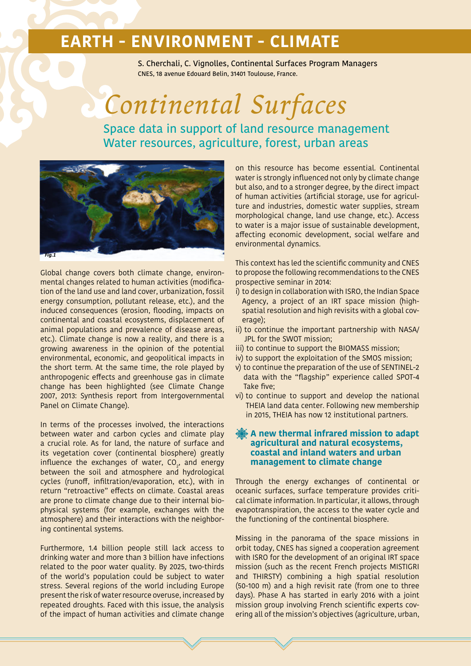S. Cherchali, C. Vignolles, Continental Surfaces Program Managers CNES, 18 avenue Edouard Belin, 31401 Toulouse, France.

# *Continental Surfaces*

Space data in support of land resource management Water resources, agriculture, forest, urban areas



Global change covers both climate change, environmental changes related to human activities (modification of the land use and land cover, urbanization, fossil energy consumption, pollutant release, etc.), and the induced consequences (erosion, flooding, impacts on continental and coastal ecosystems, displacement of animal populations and prevalence of disease areas, etc.). Climate change is now a reality, and there is a growing awareness in the opinion of the potential environmental, economic, and geopolitical impacts in the short term. At the same time, the role played by anthropogenic effects and greenhouse gas in climate change has been highlighted (see Climate Change 2007, 2013: Synthesis report from Intergovernmental Panel on Climate Change).

In terms of the processes involved, the interactions between water and carbon cycles and climate play a crucial role. As for land, the nature of surface and its vegetation cover (continental biosphere) greatly influence the exchanges of water,  $CO<sub>2</sub>$ , and energy between the soil and atmosphere and hydrological cycles (runoff, infiltration/evaporation, etc.), with in return "retroactive" effects on climate. Coastal areas are prone to climate change due to their internal biophysical systems (for example, exchanges with the atmosphere) and their interactions with the neighboring continental systems.

Furthermore, 1.4 billion people still lack access to drinking water and more than 3 billion have infections related to the poor water quality. By 2025, two-thirds of the world's population could be subject to water stress. Several regions of the world including Europe present the risk of water resource overuse, increased by repeated droughts. Faced with this issue, the analysis of the impact of human activities and climate change

on this resource has become essential. Continental water is strongly influenced not only by climate change but also, and to a stronger degree, by the direct impact of human activities (artificial storage, use for agriculture and industries, domestic water supplies, stream morphological change, land use change, etc.). Access to water is a major issue of sustainable development, affecting economic development, social welfare and environmental dynamics.

This context has led the scientific community and CNES to propose the following recommendations to the CNES prospective seminar in 2014:

- i) to design in collaboration with ISRO, the Indian Space Agency, a project of an IRT space mission (highspatial resolution and high revisits with a global coverage);
- ii) to continue the important partnership with NASA/ JPL for the SWOT mission;
- iii) to continue to support the BIOMASS mission;
- iv) to support the exploitation of the SMOS mission;
- v) to continue the preparation of the use of SENTINEL-2 data with the "flagship" experience called SPOT-4 Take five;
- vi) to continue to support and develop the national THEIA land data center. Following new membership in 2015, THEIA has now 12 institutional partners.

### **A new thermal infrared mission to adapt agricultural and natural ecosystems, coastal and inland waters and urban management to climate change**

Through the energy exchanges of continental or oceanic surfaces, surface temperature provides critical climate information. In particular, it allows, through evapotranspiration, the access to the water cycle and the functioning of the continental biosphere.

Missing in the panorama of the space missions in orbit today, CNES has signed a cooperation agreement with ISRO for the development of an original IRT space mission (such as the recent French projects MISTIGRI and THIRSTY) combining a high spatial resolution (50-100 m) and a high revisit rate (from one to three days). Phase A has started in early 2016 with a joint mission group involving French scientific experts covering all of the mission's objectives (agriculture, urban,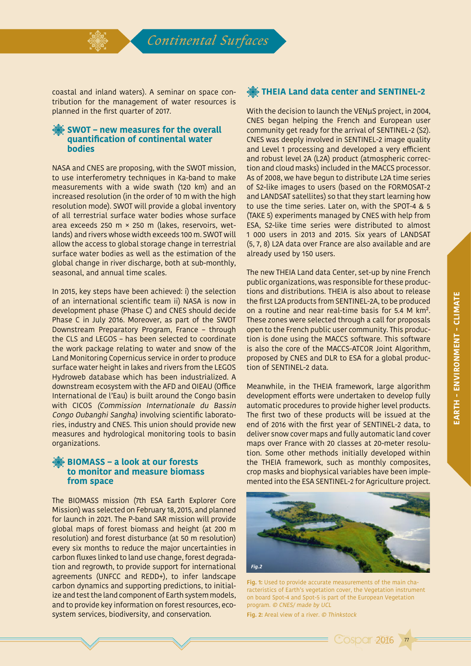

*Continental Surfaces*

coastal and inland waters). A seminar on space contribution for the management of water resources is planned in the first quarter of 2017.

### **SWOT – new measures for the overall quantification of continental water bodies**

NASA and CNES are proposing, with the SWOT mission, to use interferometry techniques in Ka-band to make measurements with a wide swath (120 km) and an increased resolution (in the order of 10 m with the high resolution mode). SWOT will provide a global inventory of all terrestrial surface water bodies whose surface area exceeds 250 m × 250 m (lakes, reservoirs, wetlands) and rivers whose width exceeds 100 m. SWOT will allow the access to global storage change in terrestrial surface water bodies as well as the estimation of the global change in river discharge, both at sub-monthly, seasonal, and annual time scales.

In 2015, key steps have been achieved: i) the selection of an international scientific team ii) NASA is now in development phase (Phase C) and CNES should decide Phase C in July 2016. Moreover, as part of the SWOT Downstream Preparatory Program, France – through the CLS and LEGOS – has been selected to coordinate the work package relating to water and snow of the Land Monitoring Copernicus service in order to produce surface water height in lakes and rivers from the LEGOS Hydroweb database which has been industrialized. A downstream ecosystem with the AFD and OIEAU (Office International de l'Eau) is built around the Congo basin with CICOS (Commission Internationale du Bassin Congo Oubanghi Sangha) involving scientific laboratories, industry and CNES. This union should provide new measures and hydrological monitoring tools to basin organizations.

### **BIOMASS – a look at our forests to monitor and measure biomass from space**

The BIOMASS mission (7th ESA Earth Explorer Core Mission) was selected on February 18, 2015, and planned for launch in 2021. The P-band SAR mission will provide global maps of forest biomass and height (at 200 m resolution) and forest disturbance (at 50 m resolution) every six months to reduce the major uncertainties in carbon fluxes linked to land use change, forest degradation and regrowth, to provide support for international agreements (UNFCC and REDD+), to infer landscape carbon dynamics and supporting predictions, to initialize and test the land component of Earth system models, and to provide key information on forest resources, ecosystem services, biodiversity, and conservation.

## **THEIA Land data center and SENTINEL-2**

With the decision to launch the VENµS project, in 2004, CNES began helping the French and European user community get ready for the arrival of SENTINEL-2 (S2). CNES was deeply involved in SENTINEL-2 image quality and Level 1 processing and developed a very efficient and robust level 2A (L2A) product (atmospheric correction and cloud masks) included in the MACCS processor. As of 2008, we have begun to distribute L2A time series of S2-like images to users (based on the FORMOSAT-2 and LANDSAT satellites) so that they start learning how to use the time series. Later on, with the SPOT-4 & 5 (TAKE 5) experiments managed by CNES with help from ESA, S2-like time series were distributed to almost 1 000 users in 2013 and 2015. Six years of LANDSAT (5, 7, 8) L2A data over France are also available and are already used by 150 users.

The new THEIA Land data Center, set-up by nine French public organizations, was responsible for these productions and distributions. THEIA is also about to release the first L2A products from SENTINEL-2A, to be produced on a routine and near real-time basis for 5.4 M km². These zones were selected through a call for proposals open to the French public user community. This production is done using the MACCS software. This software is also the core of the MACCS-ATCOR Joint Algorithm, proposed by CNES and DLR to ESA for a global production of SENTINEL-2 data.

Meanwhile, in the THEIA framework, large algorithm development efforts were undertaken to develop fully automatic procedures to provide higher level products. The first two of these products will be issued at the end of 2016 with the first year of SENTINEL-2 data, to deliver snow cover maps and fully automatic land cover maps over France with 20 classes at 20-meter resolution. Some other methods initially developed within the THEIA framework, such as monthly composites, crop masks and biophysical variables have been implemented into the ESA SENTINEL-2 for Agriculture project.



**Fig. 1:** Used to provide accurate measurements of the main characteristics of Earth's vegetation cover, the Vegetation instrument on board Spot-4 and Spot-5 is part of the European Vegetation program. © CNES/ made by UCL

**Cosper 2016** 

77

**Fig. 2:** Areal view of a river. © Thinkstock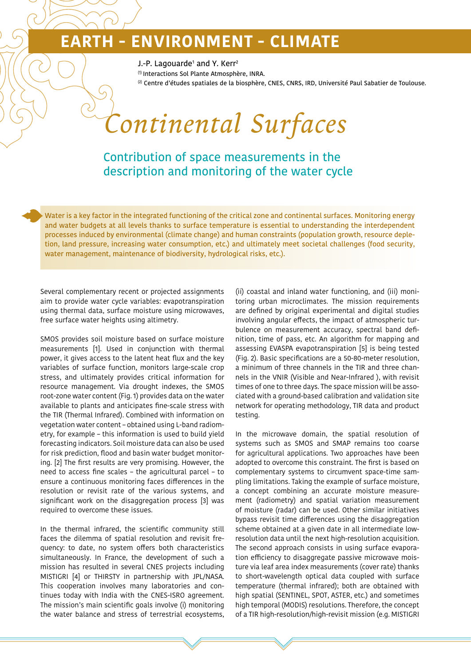J.-P. Lagouarde<sup>1</sup> and Y. Kerr<sup>2</sup>

(1) Interactions Sol Plante Atmosphère, INRA.

(2) Centre d'études spatiales de la biosphère, CNES, CNRS, IRD, Université Paul Sabatier de Toulouse.

# *Continental Surfaces*

# Contribution of space measurements in the description and monitoring of the water cycle

Water is a key factor in the integrated functioning of the critical zone and continental surfaces. Monitoring energy and water budgets at all levels thanks to surface temperature is essential to understanding the interdependent processes induced by environmental (climate change) and human constraints (population growth, resource depletion, land pressure, increasing water consumption, etc.) and ultimately meet societal challenges (food security, water management, maintenance of biodiversity, hydrological risks, etc.).

Several complementary recent or projected assignments aim to provide water cycle variables: evapotranspiration using thermal data, surface moisture using microwaves, free surface water heights using altimetry.

SMOS provides soil moisture based on surface moisture measurements [1]. Used in conjunction with thermal power, it gives access to the latent heat flux and the key variables of surface function, monitors large-scale crop stress, and ultimately provides critical information for resource management. Via drought indexes, the SMOS root-zone water content (Fig. 1) provides data on the water available to plants and anticipates fine-scale stress with the TIR (Thermal Infrared). Combined with information on vegetation water content – obtained using L-band radiometry, for example – this information is used to build yield forecasting indicators. Soil moisture data can also be used for risk prediction, flood and basin water budget monitoring. [2] The first results are very promising. However, the need to access fine scales – the agricultural parcel – to ensure a continuous monitoring faces differences in the resolution or revisit rate of the various systems, and significant work on the disaggregation process [3] was required to overcome these issues.

In the thermal infrared, the scientific community still faces the dilemma of spatial resolution and revisit frequency: to date, no system offers both characteristics simultaneously. In France, the development of such a mission has resulted in several CNES projects including MISTIGRI [4] or THIRSTY in partnership with JPL/NASA. This cooperation involves many laboratories and continues today with India with the CNES-ISRO agreement. The mission's main scientific goals involve (i) monitoring the water balance and stress of terrestrial ecosystems, (ii) coastal and inland water functioning, and (iii) monitoring urban microclimates. The mission requirements are defined by original experimental and digital studies involving angular effects, the impact of atmospheric turbulence on measurement accuracy, spectral band definition, time of pass, etc. An algorithm for mapping and assessing EVASPA evapotranspiration [5] is being tested (Fig. 2). Basic specifications are a 50-80-meter resolution, a minimum of three channels in the TIR and three channels in the VNIR (Visible and Near-Infrared ), with revisit times of one to three days. The space mission will be associated with a ground-based calibration and validation site network for operating methodology, TIR data and product testing.

In the microwave domain, the spatial resolution of systems such as SMOS and SMAP remains too coarse for agricultural applications. Two approaches have been adopted to overcome this constraint. The first is based on complementary systems to circumvent space-time sampling limitations. Taking the example of surface moisture, a concept combining an accurate moisture measurement (radiometry) and spatial variation measurement of moisture (radar) can be used. Other similar initiatives bypass revisit time differences using the disaggregation scheme obtained at a given date in all intermediate lowresolution data until the next high-resolution acquisition. The second approach consists in using surface evaporation efficiency to disaggregate passive microwave moisture via leaf area index measurements (cover rate) thanks to short-wavelength optical data coupled with surface temperature (thermal infrared); both are obtained with high spatial (SENTINEL, SPOT, ASTER, etc.) and sometimes high temporal (MODIS) resolutions. Therefore, the concept of a TIR high-resolution/high-revisit mission (e.g. MISTIGRI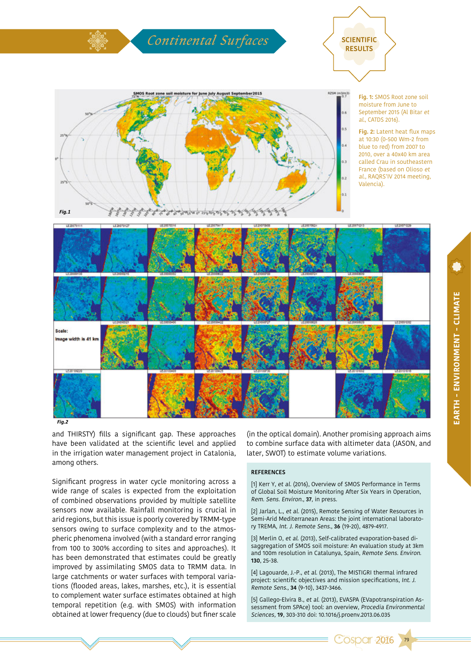

*Fig.2*

and THIRSTY) fills a significant gap. These approaches have been validated at the scientific level and applied in the irrigation water management project in Catalonia, among others.

Significant progress in water cycle monitoring across a wide range of scales is expected from the exploitation of combined observations provided by multiple satellite sensors now available. Rainfall monitoring is crucial in arid regions, but this issue is poorly covered by TRMM-type sensors owing to surface complexity and to the atmospheric phenomena involved (with a standard error ranging from 100 to 300% according to sites and approaches). It has been demonstrated that estimates could be greatly improved by assimilating SMOS data to TRMM data. In large catchments or water surfaces with temporal variations (flooded areas, lakes, marshes, etc.), it is essential to complement water surface estimates obtained at high temporal repetition (e.g. with SMOS) with information obtained at lower frequency (due to clouds) but finer scale

(in the optical domain). Another promising approach aims to combine surface data with altimeter data (JASON, and later, SWOT) to estimate volume variations.

#### **REFERENCES**

[1] Kerr Y, et al. (2016), Overview of SMOS Performance in Terms of Global Soil Moisture Monitoring After Six Years in Operation, Rem. Sens. Environ., **37**, in press.

[2] Jarlan, L., et al. (2015), Remote Sensing of Water Resources in Semi-Arid Mediterranean Areas: the joint international laboratory TREMA, Int. J. Remote Sens., **36** (19-20), 4879-4917.

[3] Merlin O, et al. (2013), Self-calibrated evaporation-based disaggregation of SMOS soil moisture: An evaluation study at 3km and 100m resolution in Catalunya, Spain, Remote Sens. Environ. **130**, 25-38.

[4] Lagouarde, J.-P., et al. (2013), The MISTIGRI thermal infrared project: scientific objectives and mission specifications, Int. J. Remote Sens., **34** (9-10), 3437-3466.

[5] Gallego-Elvira B., et al. (2013), EVASPA (EVapotranspiration Assessment from SPAce) tool: an overview, Procedia Environmental Sciences, **19**, 303-310 doi: 10.1016/j.proenv.2013.06.035

**Cospar 2016** 

79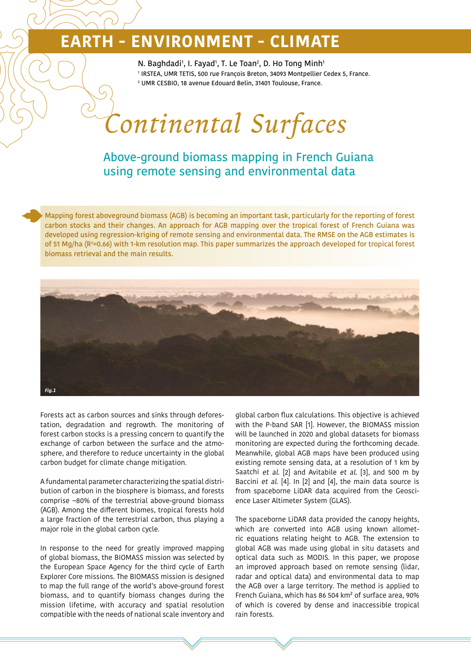N. Baghdadi<sup>1</sup>, I. Fayad<sup>1</sup>, T. Le Toan<sup>2</sup>, D. Ho Tong Minh<sup>1</sup> 1 IRSTEA, UMR TETIS, 500 rue François Breton, 34093 Montpellier Cedex 5, France. 2 UMR CESBIO, 18 avenue Edouard Belin, 31401 Toulouse, France.

# *Continental Surfaces*

## Above-ground biomass mapping in French Guiana using remote sensing and environmental data

Mapping forest aboveground biomass (AGB) is becoming an important task, particularly for the reporting of forest carbon stocks and their changes. An approach for AGB mapping over the tropical forest of French Guiana was developed using regression-kriging of remote sensing and environmental data. The RMSE on the AGB estimates is of 51 Mg/ha (R²=0.66) with 1-km resolution map. This paper summarizes the approach developed for tropical forest biomass retrieval and the main results.



Forests act as carbon sources and sinks through deforestation, degradation and regrowth. The monitoring of forest carbon stocks is a pressing concern to quantify the exchange of carbon between the surface and the atmosphere, and therefore to reduce uncertainty in the global carbon budget for climate change mitigation.

A fundamental parameter characterizing the spatial distribution of carbon in the biosphere is biomass, and forests comprise ~80% of the terrestrial above-ground biomass (AGB). Among the different biomes, tropical forests hold a large fraction of the terrestrial carbon, thus playing a major role in the global carbon cycle.

In response to the need for greatly improved mapping of global biomass, the BIOMASS mission was selected by the European Space Agency for the third cycle of Earth Explorer Core missions. The BIOMASS mission is designed to map the full range of the world's above-ground forest biomass, and to quantify biomass changes during the mission lifetime, with accuracy and spatial resolution compatible with the needs of national scale inventory and global carbon flux calculations. This objective is achieved with the P-band SAR [1]. However, the BIOMASS mission will be launched in 2020 and global datasets for biomass monitoring are expected during the forthcoming decade. Meanwhile, global AGB maps have been produced using existing remote sensing data, at a resolution of 1 km by Saatchi et al. [2] and Avitabile et al. [3], and 500 m by Baccini et al. [4]. In [2] and [4], the main data source is from spaceborne LiDAR data acquired from the Geoscience Laser Altimeter System (GLAS).

The spaceborne LiDAR data provided the canopy heights, which are converted into AGB using known allometric equations relating height to AGB. The extension to global AGB was made using global in situ datasets and optical data such as MODIS. In this paper, we propose an improved approach based on remote sensing (lidar, radar and optical data) and environmental data to map the AGB over a large territory. The method is applied to French Guiana, which has 86 504 km² of surface area, 90% of which is covered by dense and inaccessible tropical rain forests.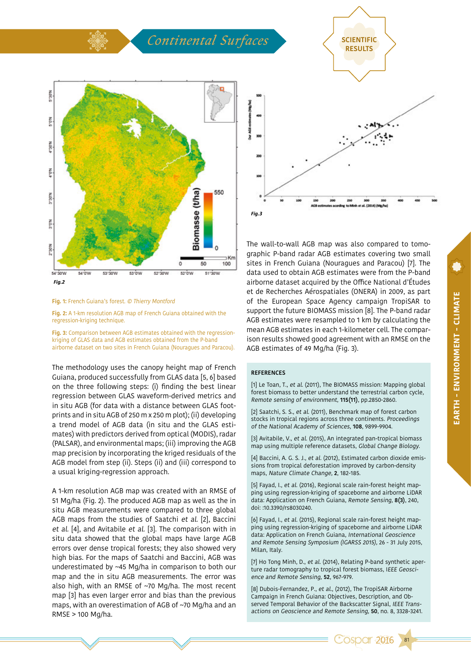

#### **Fig. 1:** French Guiana's forest. © Thierry Montford

**Fig. 2:** A 1-km resolution AGB map of French Guiana obtained with the regression-kriging technique.

**Fig. 3:** Comparison between AGB estimates obtained with the regressionkriging of GLAS data and AGB estimates obtained from the P-band airborne dataset on two sites in French Guiana (Nouragues and Paracou).

The methodology uses the canopy height map of French Guiana, produced successfully from GLAS data [5, 6] based on the three following steps: (i) finding the best linear regression between GLAS waveform-derived metrics and in situ AGB (for data with a distance between GLAS footprints and in situ AGB of 250 m x 250 m plot); (ii) developing a trend model of AGB data (in situ and the GLAS estimates) with predictors derived from optical (MODIS), radar (PALSAR), and environmental maps; (iii) improving the AGB map precision by incorporating the kriged residuals of the AGB model from step (ii). Steps (ii) and (iii) correspond to a usual kriging-regression approach.

A 1-km resolution AGB map was created with an RMSE of 51 Mg/ha (Fig. 2). The produced AGB map as well as the in situ AGB measurements were compared to three global AGB maps from the studies of Saatchi et al. [2], Baccini et al. [4], and Avitabile et al. [3]. The comparison with in situ data showed that the global maps have large AGB errors over dense tropical forests; they also showed very high bias. For the maps of Saatchi and Baccini, AGB was underestimated by ~45 Mg/ha in comparison to both our map and the in situ AGB measurements. The error was also high, with an RMSE of ~70 Mg/ha. The most recent map [3] has even larger error and bias than the previous maps, with an overestimation of AGB of ~70 Mg/ha and an RMSE > 100 Mg/ha.



The wall-to-wall AGB map was also compared to tomographic P-band radar AGB estimates covering two small sites in French Guiana (Nouragues and Paracou) [7]. The data used to obtain AGB estimates were from the P-band airborne dataset acquired by the Office National d'Études et de Recherches Aérospatiales (ONERA) in 2009, as part of the European Space Agency campaign TropiSAR to support the future BIOMASS mission [8]. The P-band radar AGB estimates were resampled to 1 km by calculating the mean AGB estimates in each 1-kilometer cell. The comparison results showed good agreement with an RMSE on the AGB estimates of 49 Mg/ha (Fig. 3).

#### **REFERENCES**

[1] Le Toan, T., et al. (2011), The BIOMASS mission: Mapping global forest biomass to better understand the terrestrial carbon cycle, Remote sensing of environment, **115(11)**, pp.2850-2860.

[2] Saatchi, S. S., et al. (2011), Benchmark map of forest carbon stocks in tropical regions across three continents. Proceedings of the National Academy of Sciences, **108**, 9899-9904.

[3] Avitabile, V., et al. (2015), An integrated pan-tropical biomass map using multiple reference datasets, Global Change Biology.

[4] Baccini, A. G. S. J., et al. (2012), Estimated carbon dioxide emissions from tropical deforestation improved by carbon-density maps, Nature Climate Change, **2**, 182-185.

[5] Fayad, I., et al. (2016), Regional scale rain-forest height mapping using regression-kriging of spaceborne and airborne LiDAR data: Application on French Guiana, Remote Sensing, **8(3)**, 240, doi: :10.3390/rs8030240.

[6] Fayad, I., et al. (2015), Regional scale rain-forest height mapping using regression-kriging of spaceborne and airborne LiDAR data: Application on French Guiana, International Geoscience and Remote Sensing Symposium (IGARSS 2015), 26 - 31 July 2015, Milan, Italy.

[7] Ho Tong Minh, D., et al. (2014), Relating P-band synthetic aperture radar tomography to tropical forest biomass, IEEE Geoscience and Remote Sensing, **52**, 967-979.

[8] Dubois-Fernandez, P., et al., (2012), The TropiSAR Airborne Campaign in French Guiana: Objectives, Description, and Observed Temporal Behavior of the Backscatter Signal, IEEE Transactions on Geoscience and Remote Sensing, **50**, no. 8, 3328-3241.

81

**OSDAr 2016**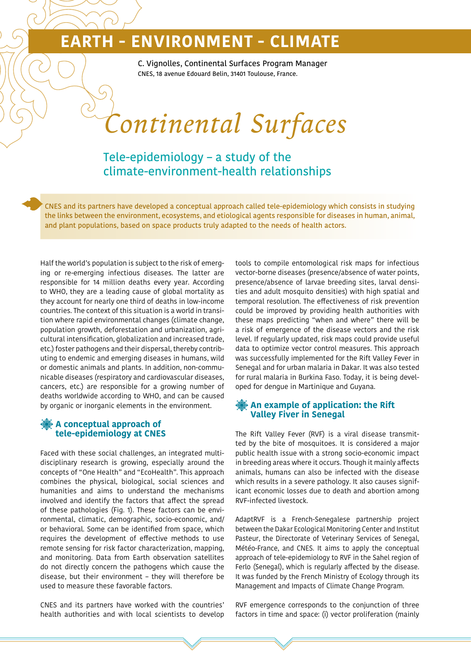C. Vignolles, Continental Surfaces Program Manager CNES, 18 avenue Edouard Belin, 31401 Toulouse, France.

*Continental Surfaces*

Tele-epidemiology – a study of the climate-environment-health relationships

CNES and its partners have developed a conceptual approach called tele-epidemiology which consists in studying the links between the environment, ecosystems, and etiological agents responsible for diseases in human, animal, and plant populations, based on space products truly adapted to the needs of health actors.

Half the world's population is subject to the risk of emerging or re-emerging infectious diseases. The latter are responsible for 14 million deaths every year. According to WHO, they are a leading cause of global mortality as they account for nearly one third of deaths in low-income countries. The context of this situation is a world in transition where rapid environmental changes (climate change, population growth, deforestation and urbanization, agricultural intensification, globalization and increased trade, etc.) foster pathogens and their dispersal, thereby contributing to endemic and emerging diseases in humans, wild or domestic animals and plants. In addition, non-communicable diseases (respiratory and cardiovascular diseases, cancers, etc.) are responsible for a growing number of deaths worldwide according to WHO, and can be caused by organic or inorganic elements in the environment.

### **A conceptual approach of tele-epidemiology at CNES**

Faced with these social challenges, an integrated multidisciplinary research is growing, especially around the concepts of "One Health" and "EcoHealth". This approach combines the physical, biological, social sciences and humanities and aims to understand the mechanisms involved and identify the factors that affect the spread of these pathologies (Fig. 1). These factors can be environmental, climatic, demographic, socio-economic, and/ or behavioral. Some can be identified from space, which requires the development of effective methods to use remote sensing for risk factor characterization, mapping, and monitoring. Data from Earth observation satellites do not directly concern the pathogens which cause the disease, but their environment – they will therefore be used to measure these favorable factors.

CNES and its partners have worked with the countries' health authorities and with local scientists to develop tools to compile entomological risk maps for infectious vector-borne diseases (presence/absence of water points, presence/absence of larvae breeding sites, larval densities and adult mosquito densities) with high spatial and temporal resolution. The effectiveness of risk prevention could be improved by providing health authorities with these maps predicting "when and where" there will be a risk of emergence of the disease vectors and the risk level. If regularly updated, risk maps could provide useful data to optimize vector control measures. This approach was successfully implemented for the Rift Valley Fever in Senegal and for urban malaria in Dakar. It was also tested for rural malaria in Burkina Faso. Today, it is being developed for dengue in Martinique and Guyana.

## **An example of application: the Rift Valley Fiver in Senegal**

The Rift Valley Fever (RVF) is a viral disease transmitted by the bite of mosquitoes. It is considered a major public health issue with a strong socio-economic impact in breeding areas where it occurs. Though it mainly affects animals, humans can also be infected with the disease which results in a severe pathology. It also causes significant economic losses due to death and abortion among RVF-infected livestock.

AdaptRVF is a French-Senegalese partnership project between the Dakar Ecological Monitoring Center and Institut Pasteur, the Directorate of Veterinary Services of Senegal, Météo-France, and CNES. It aims to apply the conceptual approach of tele-epidemiology to RVF in the Sahel region of Ferlo (Senegal), which is regularly affected by the disease. It was funded by the French Ministry of Ecology through its Management and Impacts of Climate Change Program.

RVF emergence corresponds to the conjunction of three factors in time and space: (i) vector proliferation (mainly